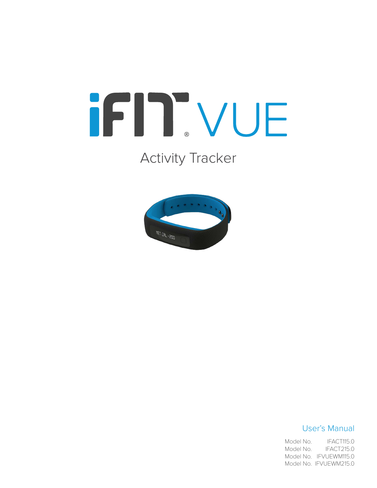# iFIT.VUE

## Activity Tracker



#### User's Manual

IFACT115.0 IFACT215.0 Model No. IFVUEWM115.0 Model No. IFVUEWM215.0 Model No. Model No.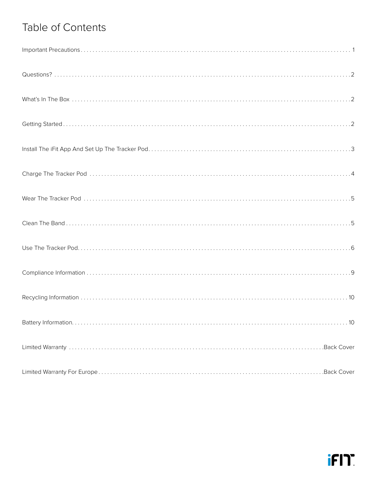## Table of Contents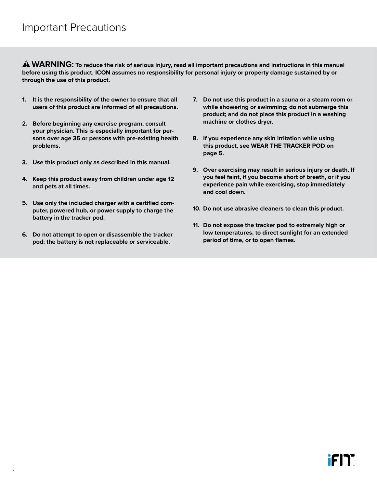<span id="page-2-0"></span> **WARNING: To reduce the risk of serious injury, read all important precautions and instructions in this manual before using this product. ICON assumes no responsibility for personal injury or property damage sustained by or through the use of this product.**

- **1. It is the responsibility of the owner to ensure that all users of this product are informed of all precautions.**
- **2. Before beginning any exercise program, consult your physician. This is especially important for persons over age 35 or persons with pre-existing health problems.**
- **3. Use this product only as described in this manual.**
- **4. Keep this product away from children under age 12 and pets at all times.**
- **5. Use only the included charger with a certified computer, powered hub, or power supply to charge the battery in the tracker pod.**
- **6. Do not attempt to open or disassemble the tracker pod; the battery is not replaceable or serviceable.**
- **7. Do not use this product in a sauna or a steam room or while showering or swimming; do not submerge this product; and do not place this product in a washing machine or clothes dryer.**
- **8. If you experience any skin irritation while using this product, see [WEAR THE TRACKER POD](#page-6-1) on [page 5](#page-6-1).**
- **9. Over exercising may result in serious injury or death. If you feel faint, if you become short of breath, or if you experience pain while exercising, stop immediately and cool down.**
- **10. Do not use abrasive cleaners to clean this product.**
- **11. Do not expose the tracker pod to extremely high or low temperatures, to direct sunlight for an extended period of time, or to open flames.**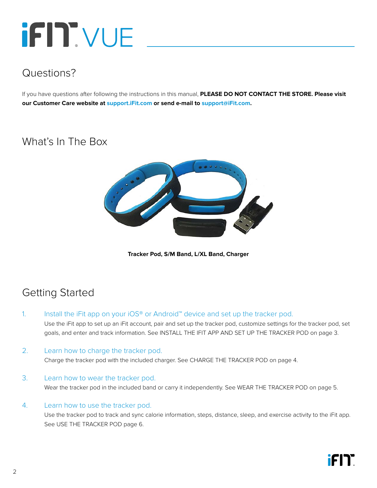## <span id="page-3-0"></span>**iFIT** VUE

## Questions?

If you have questions after following the instructions in this manual, **PLEASE DO NOT CONTACT THE STORE. Please visit our Customer Care website at <support.iFit.com> or send e-mail to [support@iFit.com.](mailto:support@iFit.com)**

## What's In The Box



**Tracker Pod, S/M Band, L/XL Band, Charger**

## Getting Started

1. Install the iFit app on your iOS® or Android™ device and set up the tracker pod.

 Use the iFit app to set up an iFit account, pair and set up the tracker pod, customize settings for the tracker pod, set goals, and enter and track information. See [INSTALL THE IFIT APP AND SET UP THE TRACKER POD](#page-4-1) on [page 3](#page-4-1).

2. Learn how to charge the tracker pod.

Charge the tracker pod with the included charger. See [CHARGE THE TRACKER POD](#page-5-1) on [page 4.](#page-5-1)

#### 3. Learn how to wear the tracker pod.

Wear the tracker pod in the included band or carry it independently. See [WEAR THE TRACKER POD](#page-6-1) on [page 5](#page-6-1).

#### 4. Learn how to use the tracker pod.

 Use the tracker pod to track and sync calorie information, steps, distance, sleep, and exercise activity to the iFit app. See [USE THE TRACKER POD](#page-7-1) [page 6](#page-7-1).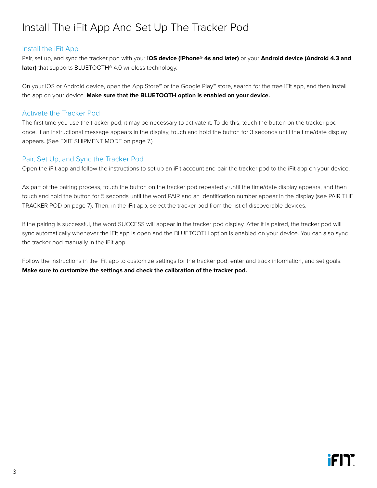## <span id="page-4-1"></span><span id="page-4-0"></span>Install The iFit App And Set Up The Tracker Pod

#### Install the iFit App

Pair, set up, and sync the tracker pod with your **iOS device (iPhone® 4s and later)** or your **Android device (Android 4.3 and later)** that supports BLUETOOTH® 4.0 wireless technology.

On your iOS or Android device, open the App Store℠ or the Google Play™ store, search for the free iFit app, and then install the app on your device. **Make sure that the BLUETOOTH option is enabled on your device.**

#### Activate the Tracker Pod

The first time you use the tracker pod, it may be necessary to activate it. To do this, touch the button on the tracker pod once. If an instructional message appears in the display, touch and hold the button for 3 seconds until the time/date display appears. (See EXIT SHIPMENT MODE on page 7.)

#### Pair, Set Up, and Sync the Tracker Pod

Open the iFit app and follow the instructions to set up an iFit account and pair the tracker pod to the iFit app on your device.

As part of the pairing process, touch the button on the tracker pod repeatedly until the time/date display appears, and then touch and hold the button for 5 seconds until the word PAIR and an identification number appear in the display (see PAIR THE TRACKER POD on page 7). Then, in the iFit app, select the tracker pod from the list of discoverable devices.

If the pairing is successful, the word SUCCESS will appear in the tracker pod display. After it is paired, the tracker pod will sync automatically whenever the iFit app is open and the BLUETOOTH option is enabled on your device. You can also sync the tracker pod manually in the iFit app.

Follow the instructions in the iFit app to customize settings for the tracker pod, enter and track information, and set goals. **Make sure to customize the settings and check the calibration of the tracker pod.**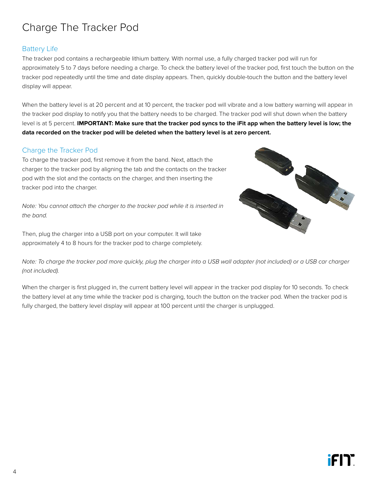## <span id="page-5-1"></span><span id="page-5-0"></span>Charge The Tracker Pod

#### Battery Life

The tracker pod contains a rechargeable lithium battery. With normal use, a fully charged tracker pod will run for approximately 5 to 7 days before needing a charge. To check the battery level of the tracker pod, first touch the button on the tracker pod repeatedly until the time and date display appears. Then, quickly double-touch the button and the battery level display will appear.

When the battery level is at 20 percent and at 10 percent, the tracker pod will vibrate and a low battery warning will appear in the tracker pod display to notify you that the battery needs to be charged. The tracker pod will shut down when the battery level is at 5 percent. **IMPORTANT: Make sure that the tracker pod syncs to the iFit app when the battery level is low; the data recorded on the tracker pod will be deleted when the battery level is at zero percent.** 

#### Charge the Tracker Pod

To charge the tracker pod, first remove it from the band. Next, attach the charger to the tracker pod by aligning the tab and the contacts on the tracker pod with the slot and the contacts on the charger, and then inserting the tracker pod into the charger.

*Note: You cannot attach the charger to the tracker pod while it is inserted in the band.*

Then, plug the charger into a USB port on your computer. It will take approximately 4 to 8 hours for the tracker pod to charge completely.



*Note: To charge the tracker pod more quickly, plug the charger into a USB wall adapter (not included) or a USB car charger (not included).*

When the charger is first plugged in, the current battery level will appear in the tracker pod display for 10 seconds. To check the battery level at any time while the tracker pod is charging, touch the button on the tracker pod. When the tracker pod is fully charged, the battery level display will appear at 100 percent until the charger is unplugged.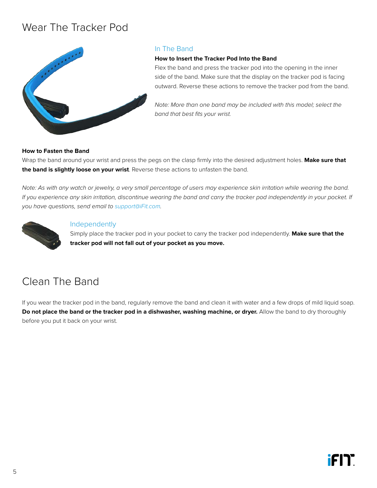### <span id="page-6-1"></span><span id="page-6-0"></span>Wear The Tracker Pod



#### In The Band

#### **How to Insert the Tracker Pod Into the Band**

Flex the band and press the tracker pod into the opening in the inner side of the band. Make sure that the display on the tracker pod is facing outward. Reverse these actions to remove the tracker pod from the band.

*Note: More than one band may be included with this model; select the band that best fits your wrist.*

#### **How to Fasten the Band**

Wrap the band around your wrist and press the pegs on the clasp firmly into the desired adjustment holes. **Make sure that the band is slightly loose on your wrist**. Reverse these actions to unfasten the band.

*Note: As with any watch or jewelry, a very small percentage of users may experience skin irritation while wearing the band. If you experience any skin irritation, discontinue wearing the band and carry the tracker pod independently in your pocket. If you have questions, send email to [support@iFit.com](mailto:support@iFit.com).*



#### Independently

Simply place the tracker pod in your pocket to carry the tracker pod independently. **Make sure that the tracker pod will not fall out of your pocket as you move.**

### Clean The Band

If you wear the tracker pod in the band, regularly remove the band and clean it with water and a few drops of mild liquid soap. **Do not place the band or the tracker pod in a dishwasher, washing machine, or dryer.** Allow the band to dry thoroughly before you put it back on your wrist.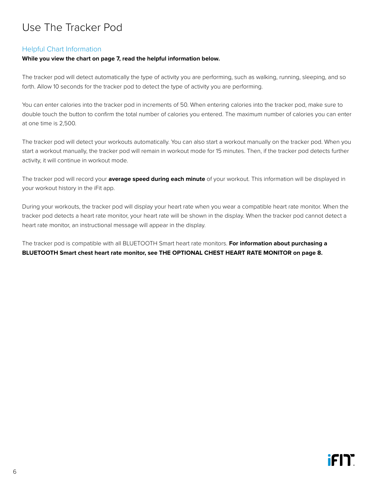## <span id="page-7-1"></span><span id="page-7-0"></span>Use The Tracker Pod

#### Helpful Chart Information

#### **While you view the chart on page 7, read the helpful information below.**

The tracker pod will detect automatically the type of activity you are performing, such as walking, running, sleeping, and so forth. Allow 10 seconds for the tracker pod to detect the type of activity you are performing.

You can enter calories into the tracker pod in increments of 50. When entering calories into the tracker pod, make sure to double touch the button to confirm the total number of calories you entered. The maximum number of calories you can enter at one time is 2,500.

The tracker pod will detect your workouts automatically. You can also start a workout manually on the tracker pod. When you start a workout manually, the tracker pod will remain in workout mode for 15 minutes. Then, if the tracker pod detects further activity, it will continue in workout mode.

The tracker pod will record your **average speed during each minute** of your workout. This information will be displayed in your workout history in the iFit app.

During your workouts, the tracker pod will display your heart rate when you wear a compatible heart rate monitor. When the tracker pod detects a heart rate monitor, your heart rate will be shown in the display. When the tracker pod cannot detect a heart rate monitor, an instructional message will appear in the display.

The tracker pod is compatible with all BLUETOOTH Smart heart rate monitors. **For information about purchasing a BLUETOOTH Smart chest heart rate monitor, see [THE OPTIONAL CHEST HEART RATE MONITOR](#page-9-0) on [page 8.](#page-9-0)**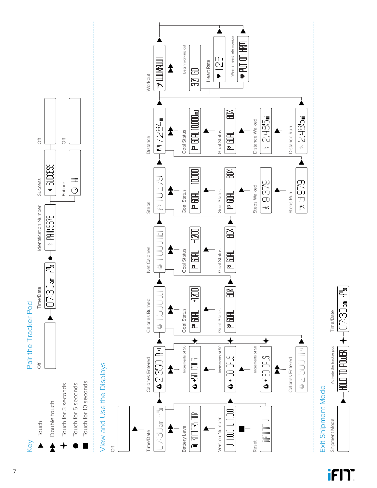

## View and Use the Displays View and Use the Displays



Wear a heart rate monitor

Wear a heart rate monitor  $\blacktriangleright$  PUT ON HRM

▲

À

 $\bullet$  125

Begin working out

8

 $\overline{\mathbb{R}}$ 

Begin working out

2

Heart Rate

Heart Rate

## Exit Shipment Mode Exit Shipment Mode

Shipment Mode Activate the tracker pod Time/Date

Shipment Mode

Activate the tracker pod

Time/Date

醒 USOCAO

 $+$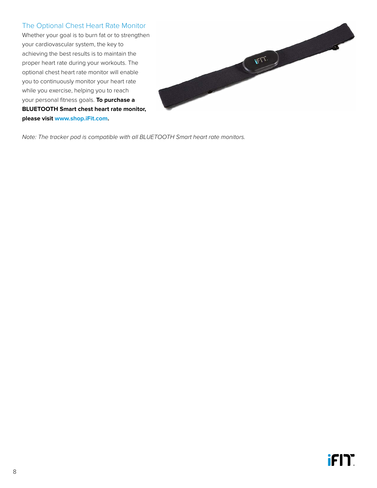#### <span id="page-9-0"></span>The Optional Chest Heart Rate Monitor

Whether your goal is to burn fat or to strengthen your cardiovascular system, the key to achieving the best results is to maintain the proper heart rate during your workouts. The optional chest heart rate monitor will enable you to continuously monitor your heart rate while you exercise, helping you to reach your personal fitness goals. **To purchase a BLUETOOTH Smart chest heart rate monitor, please visit www.shop.iFit.com.**



*Note: The tracker pod is compatible with all BLUETOOTH Smart heart rate monitors.*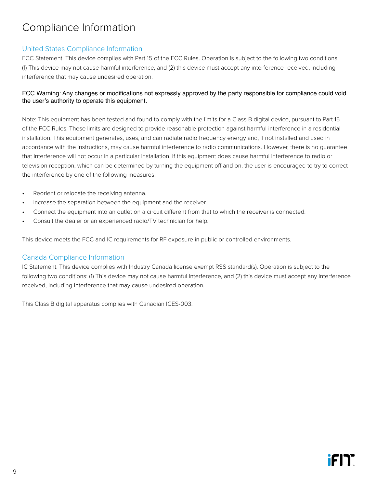## <span id="page-10-0"></span>Compliance Information

#### United States Compliance Information

FCC Statement. This device complies with Part 15 of the FCC Rules. Operation is subject to the following two conditions: (1) This device may not cause harmful interference, and (2) this device must accept any interference received, including interference that may cause undesired operation.

#### FCC Warning: Any changes or modifications not expressly approved by the party responsible for compliance could void the user's authority to operate this equipment.

Note: This equipment has been tested and found to comply with the limits for a Class B digital device, pursuant to Part 15 of the FCC Rules. These limits are designed to provide reasonable protection against harmful interference in a residential installation. This equipment generates, uses, and can radiate radio frequency energy and, if not installed and used in accordance with the instructions, may cause harmful interference to radio communications. However, there is no guarantee that interference will not occur in a particular installation. If this equipment does cause harmful interference to radio or television reception, which can be determined by turning the equipment off and on, the user is encouraged to try to correct the interference by one of the following measures:

- Reorient or relocate the receiving antenna.
- Increase the separation between the equipment and the receiver.
- Connect the equipment into an outlet on a circuit different from that to which the receiver is connected.
- Consult the dealer or an experienced radio/TV technician for help.

This device meets the FCC and IC requirements for RF exposure in public or controlled environments.

#### Canada Compliance Information

IC Statement. This device complies with Industry Canada license exempt RSS standard(s). Operation is subject to the following two conditions: (1) This device may not cause harmful interference, and (2) this device must accept any interference received, including interference that may cause undesired operation.

This Class B digital apparatus complies with Canadian ICES-003.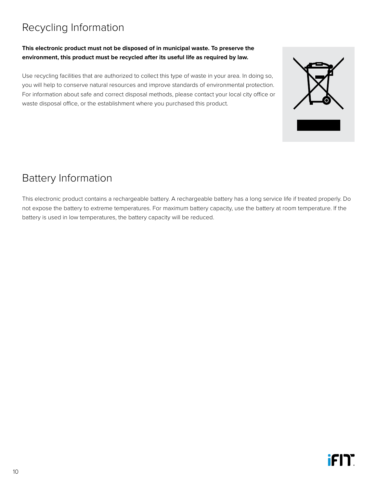## <span id="page-11-0"></span>Recycling Information

#### **This electronic product must not be disposed of in municipal waste. To preserve the environment, this product must be recycled after its useful life as required by law.**

Use recycling facilities that are authorized to collect this type of waste in your area. In doing so, you will help to conserve natural resources and improve standards of environmental protection. For information about safe and correct disposal methods, please contact your local city office or waste disposal office, or the establishment where you purchased this product.

## Battery Information

This electronic product contains a rechargeable battery. A rechargeable battery has a long service life if treated properly. Do not expose the battery to extreme temperatures. For maximum battery capacity, use the battery at room temperature. If the battery is used in low temperatures, the battery capacity will be reduced.

10